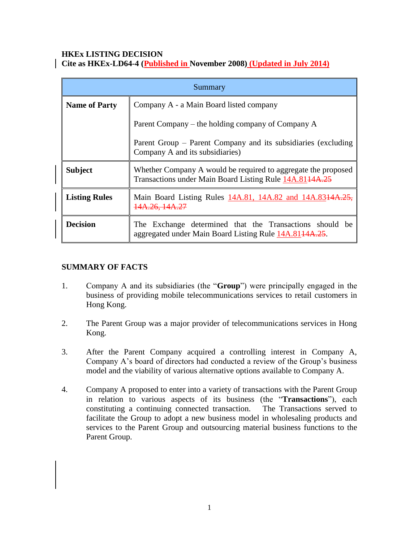#### **HKEx LISTING DECISION Cite as HKEx-LD64-4 (Published in November 2008) (Updated in July 2014)**

| Summary              |                                                                                                                          |
|----------------------|--------------------------------------------------------------------------------------------------------------------------|
| <b>Name of Party</b> | Company A - a Main Board listed company                                                                                  |
|                      | Parent Company – the holding company of Company A                                                                        |
|                      | Parent Group – Parent Company and its subsidiaries (excluding<br>Company A and its subsidiaries)                         |
| <b>Subject</b>       | Whether Company A would be required to aggregate the proposed<br>Transactions under Main Board Listing Rule 14A.8144A.25 |
| <b>Listing Rules</b> | Main Board Listing Rules 14A.81, 14A.82 and 14A.8314A.25,<br>14A.26, 14A.27                                              |
| <b>Decision</b>      | The Exchange determined that the Transactions should be<br>aggregated under Main Board Listing Rule 14A.8144A.25.        |

# **SUMMARY OF FACTS**

- 1. Company A and its subsidiaries (the "**Group**") were principally engaged in the business of providing mobile telecommunications services to retail customers in Hong Kong.
- 2. The Parent Group was a major provider of telecommunications services in Hong Kong.
- 3. After the Parent Company acquired a controlling interest in Company A, Company A's board of directors had conducted a review of the Group's business model and the viability of various alternative options available to Company A.
- 4. Company A proposed to enter into a variety of transactions with the Parent Group in relation to various aspects of its business (the "**Transactions**"), each constituting a continuing connected transaction. The Transactions served to facilitate the Group to adopt a new business model in wholesaling products and services to the Parent Group and outsourcing material business functions to the Parent Group.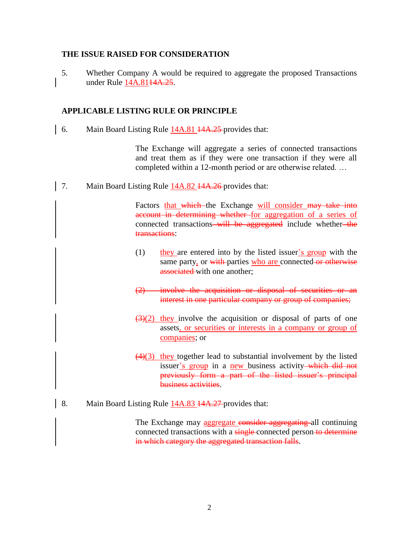#### **THE ISSUE RAISED FOR CONSIDERATION**

5. Whether Company A would be required to aggregate the proposed Transactions under Rule 14A.81<del>14A.25</del>.

## **APPLICABLE LISTING RULE OR PRINCIPLE**

6. Main Board Listing Rule 14A.81 14A.25-provides that:

The Exchange will aggregate a series of connected transactions and treat them as if they were one transaction if they were all completed within a 12-month period or are otherwise related. …

7. Main Board Listing Rule 14A.82 14A.26-provides that:

Factors that which the Exchange will consider may take into account in determining whether for aggregation of a series of connected transactions—will be aggregated include whether—the transactions:

- (1) they are entered into by the listed issuer's group with the same party, or with parties who are connected or otherwise associated with one another;
- (2) involve the acquisition or disposal of securities or an interest in one particular company or group of companies;
- $\left(\frac{3}{2}\right)$  they involve the acquisition or disposal of parts of one assets, or securities or interests in a company or group of companies; or
- $(4)(3)$  they together lead to substantial involvement by the listed issuer's group in a new business activity—which did not previously form a part of the listed issuer's principal business activities.
- 8. Main Board Listing Rule 14A.83 14A.27 provides that:

The Exchange may aggregate consider aggregating all continuing connected transactions with a single-connected person-to-determine in which category the aggregated transaction falls.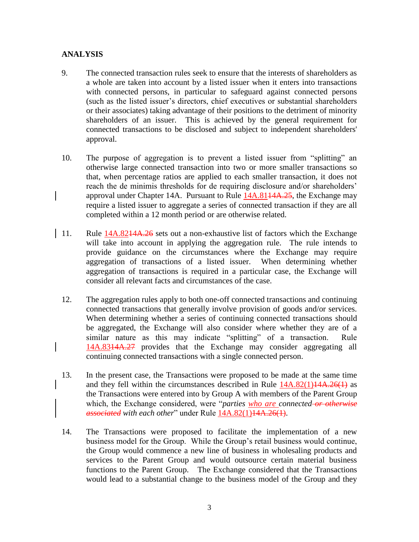## **ANALYSIS**

- 9. The connected transaction rules seek to ensure that the interests of shareholders as a whole are taken into account by a listed issuer when it enters into transactions with connected persons, in particular to safeguard against connected persons (such as the listed issuer's directors, chief executives or substantial shareholders or their associates) taking advantage of their positions to the detriment of minority shareholders of an issuer. This is achieved by the general requirement for connected transactions to be disclosed and subject to independent shareholders' approval.
- 10. The purpose of aggregation is to prevent a listed issuer from "splitting" an otherwise large connected transaction into two or more smaller transactions so that, when percentage ratios are applied to each smaller transaction, it does not reach the de minimis thresholds for de requiring disclosure and/or shareholders' approval under Chapter 14A. Pursuant to Rule 14A.8144A.25, the Exchange may require a listed issuer to aggregate a series of connected transaction if they are all completed within a 12 month period or are otherwise related.
- 11. Rule  $14A.8214A.26$  sets out a non-exhaustive list of factors which the Exchange will take into account in applying the aggregation rule. The rule intends to provide guidance on the circumstances where the Exchange may require aggregation of transactions of a listed issuer. When determining whether aggregation of transactions is required in a particular case, the Exchange will consider all relevant facts and circumstances of the case.
- 12. The aggregation rules apply to both one-off connected transactions and continuing connected transactions that generally involve provision of goods and/or services. When determining whether a series of continuing connected transactions should be aggregated, the Exchange will also consider where whether they are of a similar nature as this may indicate "splitting" of a transaction. Rule 14A.8314A.27 provides that the Exchange may consider aggregating all continuing connected transactions with a single connected person.
- 13. In the present case, the Transactions were proposed to be made at the same time and they fell within the circumstances described in Rule  $14A.82(1)14A.26(1)$  as the Transactions were entered into by Group A with members of the Parent Group which, the Exchange considered, were "*parties who are connected or otherwise associated with each other*" under Rule 14A.82(1)14A.26(1).
- 14. The Transactions were proposed to facilitate the implementation of a new business model for the Group. While the Group's retail business would continue, the Group would commence a new line of business in wholesaling products and services to the Parent Group and would outsource certain material business functions to the Parent Group. The Exchange considered that the Transactions would lead to a substantial change to the business model of the Group and they